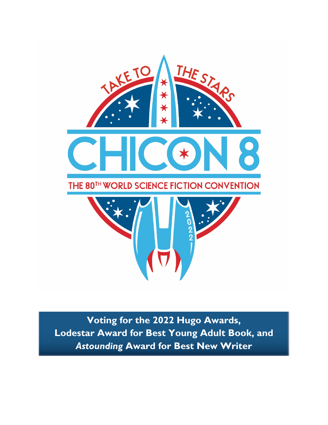

**Voting for the 2022 Hugo Awards, Lodestar Award for Best Young Adult Book, and**  *Astounding* **Award for Best New Writer**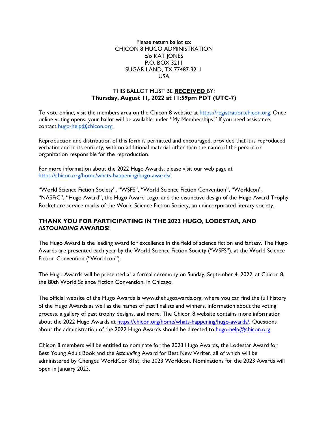#### Please return ballot to: CHICON 8 HUGO ADMINISTRATION c/o KAT JONES P.O. BOX 3211 SUGAR LAND, TX 77487-3211 USA

## THIS BALLOT MUST BE **RECEIVED** BY: **Thursday, August 11, 2022 at 11:59pm PDT (UTC-7)**

To vote online, visit the members area on the Chicon 8 website at [https://registration.chicon.org.](https://registration.chicon.org/) Once online voting opens, your ballot will be available under "My Memberships." If you need assistance, contact [hugo-help@chicon.org.](mailto:hugo-help@chicon.org)

Reproduction and distribution of this form is permitted and encouraged, provided that it is reproduced verbatim and in its entirety, with no additional material other than the name of the person or organization responsible for the reproduction.

For more information about the 2022 Hugo Awards, please visit our web page at <https://chicon.org/home/whats-happening/hugo-awards/>

"World Science Fiction Society", "WSFS", "World Science Fiction Convention", "Worldcon", "NASFiC", "Hugo Award", the Hugo Award Logo, and the distinctive design of the Hugo Award Trophy Rocket are service marks of the World Science Fiction Society, an unincorporated literary society.

## **THANK YOU FOR PARTICIPATING IN THE 2022 HUGO, LODESTAR, AND**  *ASTOUNDING* **AWARDS!**

The Hugo Award is the leading award for excellence in the field of science fiction and fantasy. The Hugo Awards are presented each year by the World Science Fiction Society ("WSFS"), at the World Science Fiction Convention ("Worldcon").

The Hugo Awards will be presented at a formal ceremony on Sunday, September 4, 2022, at Chicon 8, the 80th World Science Fiction Convention, in Chicago.

The official website of the Hugo Awards is www.thehugoawards.org, where you can find the full history of the Hugo Awards as well as the names of past finalists and winners, information about the voting process, a gallery of past trophy designs, and more. The Chicon 8 website contains more information about the 2022 Hugo Awards at [https://chicon.org/home/whats-happening/hugo-awards/.](https://chicon.org/home/whats-happening/hugo-awards/) Questions about the administration of the 2022 Hugo Awards should be directed to hugo-help@chicon.org.

Chicon 8 members will be entitled to nominate for the 2023 Hugo Awards, the Lodestar Award for Best Young Adult Book and the *Astounding* Award for Best New Writer, all of which will be administered by Chengdu WorldCon 81st, the 2023 Worldcon. Nominations for the 2023 Awards will open in January 2023.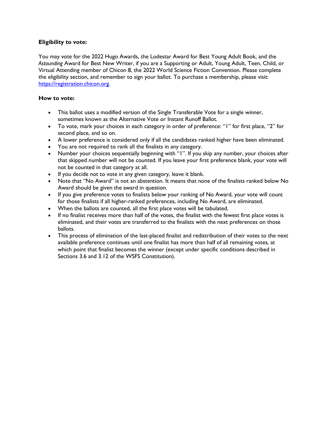## **Eligibility to vote:**

You may vote for the 2022 Hugo Awards, the Lodestar Award for Best Young Adult Book, and the *Astounding* Award for Best New Writer, if you are a Supporting or Adult, Young Adult, Teen, Child, or Virtual Attending member of Chicon 8, the 2022 World Science Fiction Convention. Please complete the eligibility section, and remember to sign your ballot. To purchase a membership, please visit: [https://registration.chicon.org.](https://registration.chicon.org/) 

#### **How to vote:**

- This ballot uses a modified version of the Single Transferable Vote for a single winner, sometimes known as the Alternative Vote or Instant Runoff Ballot.
- To vote, mark your choices in each category in order of preference: "1" for first place, "2" for second place, and so on.
- A lower preference is considered only if all the candidates ranked higher have been eliminated.
- You are not required to rank all the finalists in any category.
- Number your choices sequentially beginning with "1". If you skip any number, your choices after that skipped number will not be counted. If you leave your first preference blank, your vote will not be counted in that category at all.
- If you decide not to vote in any given category, leave it blank.
- Note that "No Award" is not an abstention. It means that none of the finalists ranked below No Award should be given the award in question.
- If you give preference votes to finalists below your ranking of No Award, your vote will count for those finalists if all higher-ranked preferences, including No Award, are eliminated.
- When the ballots are counted, all the first place votes will be tabulated.
- If no finalist receives more than half of the votes, the finalist with the fewest first place votes is eliminated, and their votes are transferred to the finalists with the next preferences on those ballots.
- This process of elimination of the last-placed finalist and redistribution of their votes to the next available preference continues until one finalist has more than half of all remaining votes, at which point that finalist becomes the winner (except under specific conditions described in Sections 3.6 and 3.12 of the WSFS Constitution).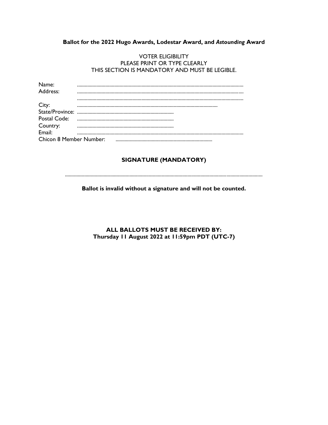## Ballot for the 2022 Hugo Awards, Lodestar Award, and Astounding Award

#### **VOTER ELIGIBILITY** PLEASE PRINT OR TYPE CLEARLY THIS SECTION IS MANDATORY AND MUST BE LEGIBLE.

| Name:    |  |  |
|----------|--|--|
| Address: |  |  |
|          |  |  |
| City:    |  |  |
|          |  |  |
|          |  |  |
| Country: |  |  |
|          |  |  |
|          |  |  |

## **SIGNATURE (MANDATORY)**

Ballot is invalid without a signature and will not be counted.

## ALL BALLOTS MUST BE RECEIVED BY: Thursday II August 2022 at II:59pm PDT (UTC-7)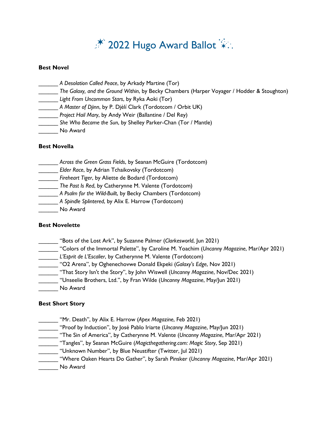# $*$  2022 Hugo Award Ballot  $*$ .

## **Best Novel**

| A Desolation Called Peace, by Arkady Martine (Tor)                                         |
|--------------------------------------------------------------------------------------------|
| The Galaxy, and the Ground Within, by Becky Chambers (Harper Voyager / Hodder & Stoughton) |
| Light From Uncommon Stars, by Ryka Aoki (Tor)                                              |
| A Master of Djinn, by P. Djèlí Clark (Tordotcom / Orbit UK)                                |
| Project Hail Mary, by Andy Weir (Ballantine / Del Rey)                                     |
| She Who Became the Sun, by Shelley Parker-Chan (Tor / Mantle)                              |
| No Award                                                                                   |
|                                                                                            |

## **Best Novella**

| Across the Green Grass Fields, by Seanan McGuire (Tordotcom) |
|--------------------------------------------------------------|
| Elder Race, by Adrian Tchaikovsky (Tordotcom)                |
| Fireheart Tiger, by Aliette de Bodard (Tordotcom)            |
| The Past Is Red, by Catherynne M. Valente (Tordotcom)        |
| A Psalm for the Wild-Built, by Becky Chambers (Tordotcom)    |
| A Spindle Splintered, by Alix E. Harrow (Tordotcom)          |
| No Award                                                     |
|                                                              |

## **Best Novelette**

| "Bots of the Lost Ark", by Suzanne Palmer (Clarkesworld, Jun 2021)                        |
|-------------------------------------------------------------------------------------------|
| "Colors of the Immortal Palette", by Caroline M. Yoachim (Uncanny Magazine, Mar/Apr 2021) |
| L'Esprit de L'Escalier, by Catherynne M. Valente (Tordotcom)                              |
| "O2 Arena", by Oghenechovwe Donald Ekpeki (Galaxy's Edge, Nov 2021)                       |
| "That Story Isn't the Story", by John Wiswell (Uncanny Magazine, Nov/Dec 2021)            |
| "Unseelie Brothers, Ltd.", by Fran Wilde (Uncanny Magazine, May/Jun 2021)                 |
| No Award                                                                                  |
|                                                                                           |

## **Best Short Story**

- \_\_\_\_\_\_ "Mr. Death", by Alix E. Harrow (*Apex Magazine*, Feb 2021)
- \_\_\_\_\_\_ "Proof by Induction", by José Pablo Iriarte (*Uncanny Magazine*, May/Jun 2021)
- \_\_\_\_\_\_ "The Sin of America", by Catherynne M. Valente (*Uncanny Magazine*, Mar/Apr 2021)
- \_\_\_\_\_\_ "Tangles", by Seanan McGuire (*Magicthegathering.com: Magic Story*, Sep 2021)
- \_\_\_\_\_\_ "Unknown Number", by Blue Neustifter (Twitter, Jul 2021)
- \_\_\_\_\_\_ "Where Oaken Hearts Do Gather", by Sarah Pinsker (*Uncanny Magazine*, Mar/Apr 2021)
- \_\_\_\_\_\_ No Award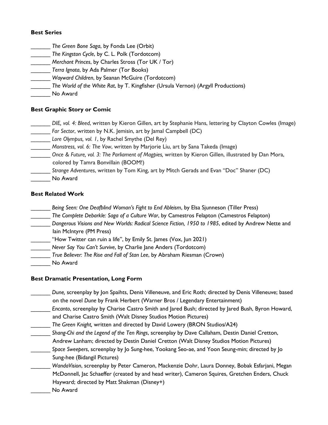## **Best Series**

- \_\_\_\_\_\_ *The Green Bone Saga*, by Fonda Lee (Orbit)
- \_\_\_\_\_\_ *The Kingston Cycle*, by C. L. Polk (Tordotcom)
- \_\_\_\_\_\_ *Merchant Princes*, by Charles Stross (Tor UK / Tor)
- \_\_\_\_\_\_ *Terra Ignota*, by Ada Palmer (Tor Books)
- \_\_\_\_\_\_ *Wayward Children*, by Seanan McGuire (Tordotcom)
- \_\_\_\_\_\_ *The World of the White Rat*, by T. Kingfisher (Ursula Vernon) (Argyll Productions)
- No Award

## **Best Graphic Story or Comic**

- \_\_\_\_\_\_ *DIE, vol. 4: Bleed*, written by Kieron Gillen, art by Stephanie Hans, lettering by Clayton Cowles (Image)
	- \_\_\_\_\_\_ *Far Sector*, written by N.K. Jemisin, art by Jamal Campbell (DC)
- Lore Olympus, vol. 1, by Rachel Smythe (Del Rey)
- \_\_\_\_\_\_ *Monstress, vol. 6: The Vow*, written by Marjorie Liu, art by Sana Takeda (Image)
- \_\_\_\_\_\_ *Once & Future, vol. 3: The Parliament of Magpies,* written by Kieron Gillen, illustrated by Dan Mora, colored by Tamra Bonvillain (BOOM!)
- \_\_\_\_\_\_ *Strange Adventures*, written by Tom King, art by Mitch Gerads and Evan "Doc" Shaner (DC)
- \_\_\_\_\_\_ No Award

## **Best Related Work**

- \_\_\_\_\_\_ *Being Seen: One Deafblind Woman's Fight to End Ableism*, by Elsa Sjunneson (Tiller Press)
- \_\_\_\_\_\_ *The Complete Debarkle: Saga of a Culture War*, by Camestros Felapton (Camestros Felapton)
- \_\_\_\_\_\_ *Dangerous Visions and New Worlds: Radical Science Fiction, 1950 to 1985*, edited by Andrew Nette and Iain McIntyre (PM Press)
- "How Twitter can ruin a life", by Emily St. James (Vox, Jun 2021)
- \_\_\_\_\_\_ *Never Say You Can't Survive*, by Charlie Jane Anders (Tordotcom)
- \_\_\_\_\_\_ *True Believer: The Rise and Fall of Stan Lee*, by Abraham Riesman (Crown)
- \_\_\_\_\_\_ No Award

## **Best Dramatic Presentation, Long Form**

- Dune, screenplay by Jon Spaihts, Denis Villeneuve, and Eric Roth; directed by Denis Villeneuve; based on the novel *Dune* by Frank Herbert (Warner Bros / Legendary Entertainment)
- \_\_\_\_\_\_ *Encanto*, screenplay by Charise Castro Smith and Jared Bush; directed by Jared Bush, Byron Howard, and Charise Castro Smith (Walt Disney Studios Motion Pictures)
- \_\_\_\_\_\_ *The Green Knight,* written and directed by David Lowery (BRON Studios/A24)
- \_\_\_\_\_\_ *Shang-Chi and the Legend of the Ten Rings*, screenplay by Dave Callaham, Destin Daniel Cretton,
	- Andrew Lanham; directed by Destin Daniel Cretton (Walt Disney Studios Motion Pictures)
- \_\_\_\_\_\_ *Space Sweepers*, screenplay by Jo Sung-hee, Yookang Seo-ae, and Yoon Seung-min; directed by Jo Sung-hee (Bidangil Pictures)
- \_\_\_\_\_\_ *WandaVision*, screenplay by Peter Cameron, Mackenzie Dohr, Laura Donney, Bobak Esfarjani, Megan McDonnell, Jac Schaeffer (created by and head writer), Cameron Squires, Gretchen Enders, Chuck Hayward; directed by Matt Shakman (Disney+)
	- \_\_\_\_\_\_ No Award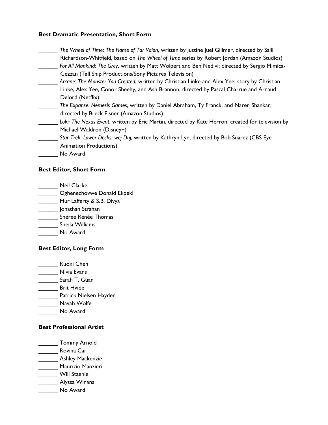## **Best Dramatic Presentation, Short Form**

\_\_\_\_\_\_ *The Wheel of Time*: *The Flame of Tar Valon*, written by Justine Juel Gillmer, directed by Salli Richardson-Whitfield, based on *The Wheel of Time* series by Robert Jordan (Amazon Studios) \_\_\_\_\_\_ *For All Mankind: The Grey*, written by Matt Wolpert and Ben Nedivi; directed by Sergio Mimica-Gezzan (Tall Ship Productions/Sony Pictures Television) \_\_\_\_\_\_ *Arcane: The Monster You Created*, written by Christian Linke and Alex Yee; story by Christian Linke, Alex Yee, Conor Sheehy, and Ash Brannon; directed by Pascal Charrue and Arnaud Delord (Netflix) \_\_\_\_\_\_ *The Expanse: Nemesis Games*, written by Daniel Abraham, Ty Franck, and Naren Shankar; directed by Breck Eisner (Amazon Studios) \_\_\_\_\_\_ *Loki: The Nexus Event*, written by Eric Martin, directed by Kate Herron, created for television by Michael Waldron (Disney+) \_\_\_\_\_\_ *Star Trek: Lower Decks: wej Duj*, written by Kathryn Lyn, directed by Bob Suarez (CBS Eye Animation Productions) \_\_\_\_\_\_ No Award

## **Best Editor, Short Form**

- \_\_\_\_\_\_ Neil Clarke
- **Example 2** Oghenechovwe Donald Ekpeki
- Mur Lafferty & S.B. Divya
- \_\_\_\_\_\_ Jonathan Strahan
- \_\_\_\_\_\_ Sheree Renée Thomas
- \_\_\_\_\_\_ Sheila Williams
- \_\_\_\_\_\_ No Award

## **Best Editor, Long Form**

- Ruoxi Chen
- \_\_\_\_\_\_ Nivia Evans
- Sarah T. Guan
- **\_\_\_\_\_\_\_** Brit Hvide
- \_\_\_\_\_\_ Patrick Nielsen Hayden
- \_\_\_\_\_\_ Navah Wolfe
- \_\_\_\_\_\_ No Award

## **Best Professional Artist**

- \_\_\_\_\_\_ Tommy Arnold
- \_\_\_\_\_\_ Rovina Cai
- \_\_\_\_\_\_\_ Ashley Mackenzie
- \_\_\_\_\_\_ Maurizio Manzieri
- \_\_\_\_\_\_ Will Staehle
- \_\_\_\_\_\_ Alyssa Winans
- \_\_\_\_\_\_ No Award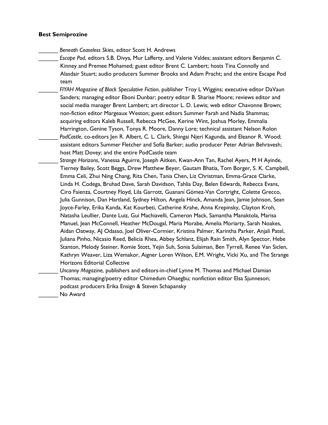#### **Best Semiprozine**

- \_\_\_\_\_\_ *Beneath Ceaseless Skies*, editor Scott H. Andrews
- \_\_\_\_\_\_ *Escape Pod*, editors S.B. Divya, Mur Lafferty, and Valerie Valdes; assistant editors Benjamin C. Kinney and Premee Mohamed; guest editor Brent C. Lambert; hosts Tina Connolly and Alasdair Stuart; audio producers Summer Brooks and Adam Pracht; and the entire Escape Pod team
- \_\_\_\_\_\_ *FIYAH Magazine of Black Speculative Fiction*, publisher Troy L Wiggins; executive editor DaVaun Sanders; managing editor Eboni Dunbar; poetry editor B. Sharise Moore; reviews editor and social media manager Brent Lambert; art director L. D. Lewis; web editor Chavonne Brown; non-fiction editor Margeaux Weston; guest editors Summer Farah and Nadia Shammas; acquiring editors Kaleb Russell, Rebecca McGee, Kerine Wint, Joshua Morley, Emmalia Harrington, Genine Tyson, Tonya R. Moore, Danny Lore; technical assistant Nelson Rolon \_\_\_\_\_\_ *PodCastle*, co-editors Jen R. Albert, C. L. Clark, Shingai Njeri Kagunda, and Eleanor R. Wood; assistant editors Summer Fletcher and Sofía Barker; audio producer Peter Adrian Behravesh; host Matt Dovey; and the entire PodCastle team
- \_\_\_\_\_\_ *Strange Horizons*, Vanessa Aguirre, Joseph Aitken, Kwan-Ann Tan, Rachel Ayers, M H Ayinde, Tierney Bailey, Scott Beggs, Drew Matthew Beyer, Gautam Bhatia, Tom Borger, S. K. Campbell, Emma Celi, Zhui Ning Chang, Rita Chen, Tania Chen, Liz Christman, Emma-Grace Clarke, Linda H. Codega, Bruhad Dave, Sarah Davidson, Tahlia Day, Belen Edwards, Rebecca Evans, Ciro Faienza, Courtney Floyd, Lila Garrott, Guananí Gómez-Van Cortright, Colette Grecco, Julia Gunnison, Dan Hartland, Sydney Hilton, Angela Hinck, Amanda Jean, Jamie Johnson, Sean Joyce-Farley, Erika Kanda, Kat Kourbeti, Catherine Krahe, Anna Krepinsky, Clayton Kroh, Natasha Leullier, Dante Luiz, Gui Machiavelli, Cameron Mack, Samantha Manaktola, Marisa Manuel, Jean McConnell, Heather McDougal, Maria Morabe, Amelia Moriarty, Sarah Noakes, Aidan Oatway, AJ Odasso, Joel Oliver-Cormier, Kristina Palmer, Karintha Parker, Anjali Patel, Juliana Pinho, Nicasio Reed, Belicia Rhea, Abbey Schlanz, Elijah Rain Smith, Alyn Spector, Hebe Stanton, Melody Steiner, Romie Stott, Yejin Suh, Sonia Sulaiman, Ben Tyrrell, Renee Van Siclen, Kathryn Weaver, Liza Wemakor, Aigner Loren Wilson, E.M. Wright, Vicki Xu, and The Strange Horizons Editorial Collective
	- \_\_\_\_\_\_ *Uncanny Magazine*, publishers and editors-in-chief Lynne M. Thomas and Michael Damian Thomas; managing/poetry editor Chimedum Ohaegbu; nonfiction editor Elsa Sjunneson; podcast producers Erika Ensign & Steven Schapansky

No Award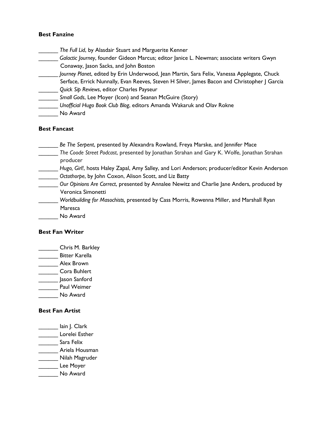## **Best Fanzine**

- \_\_\_\_\_\_ *The Full Lid*, by Alasdair Stuart and Marguerite Kenner
- \_\_\_\_\_\_ *Galactic Journey*, founder Gideon Marcus; editor Janice L. Newman; associate writers Gwyn Conaway, Jason Sacks, and John Boston
- \_\_\_\_\_\_ *Journey Planet*, edited by Erin Underwood, Jean Martin, Sara Felix, Vanessa Applegate, Chuck
- Serface, Errick Nunnally, Evan Reeves, Steven H Silver, James Bacon and Christopher J Garcia \_\_\_\_\_\_ *Quick Sip Reviews*, editor Charles Payseur
- \_\_\_\_\_\_ *Small Gods*, Lee Moyer (Icon) and Seanan McGuire (Story)
- \_\_\_\_\_\_ *Unofficial Hugo Book Club Blog*, editors Amanda Wakaruk and Olav Rokne
- \_\_\_\_\_\_ No Award

## **Best Fancast**

- \_\_\_\_\_\_ *Be The Serpent*, presented by Alexandra Rowland, Freya Marske, and Jennifer Mace
- \_\_\_\_\_\_ *The Coode Street Podcast*, presented by Jonathan Strahan and Gary K. Wolfe, Jonathan Strahan producer
- \_\_\_\_\_\_ *Hugo, Girl!*, hosts Haley Zapal, Amy Salley, and Lori Anderson; producer/editor Kevin Anderson \_\_\_\_\_\_ *Octothorpe*, by John Coxon, Alison Scott, and Liz Batty
- \_\_\_\_\_\_ *Our Opinions Are Correct*, presented by Annalee Newitz and Charlie Jane Anders, produced by Veronica Simonetti
- \_\_\_\_\_\_ *Worldbuilding for Masochists,* presented by Cass Morris, Rowenna Miller, and Marshall Ryan Maresca
- \_\_\_\_\_\_ No Award

## **Best Fan Writer**

- \_\_\_\_\_\_ Chris M. Barkley
- \_\_\_\_\_\_ Bitter Karella
- Alex Brown
- \_\_\_\_\_\_ Cora Buhlert
- \_\_\_\_\_\_ Jason Sanford
- \_\_\_\_\_\_ Paul Weimer
- No Award

## **Best Fan Artist**

- lain J. Clark \_\_\_\_\_\_ Lorelei Esther
- Sara Felix
- \_\_\_\_\_\_ Ariela Housman
- \_\_\_\_\_\_ Nilah Magruder
- Lee Moyer
- \_\_\_\_\_\_ No Award